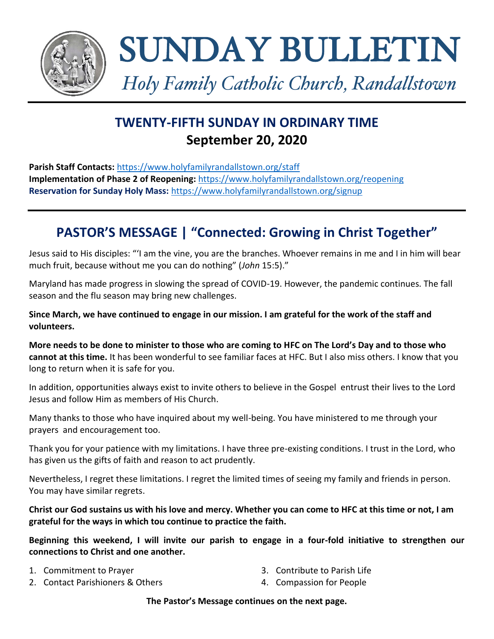

SUNDAY BULLETIN

*Holy Family Catholic Church, Randallstown*

# **TWENTY-FIFTH SUNDAY IN ORDINARY TIME September 20, 2020**

**Parish Staff Contacts:** <https://www.holyfamilyrandallstown.org/staff> **Implementation of Phase 2 of Reopening:** <https://www.holyfamilyrandallstown.org/reopening> **Reservation for Sunday Holy Mass:** <https://www.holyfamilyrandallstown.org/signup>

# **PASTOR'S MESSAGE | "Connected: Growing in Christ Together"**

Jesus said to His disciples: "'I am the vine, you are the branches. Whoever remains in me and I in him will bear much fruit, because without me you can do nothing" (*John* 15:5)."

Maryland has made progress in slowing the spread of COVID-19. However, the pandemic continues. The fall season and the flu season may bring new challenges.

**Since March, we have continued to engage in our mission. I am grateful for the work of the staff and volunteers.**

**More needs to be done to minister to those who are coming to HFC on The Lord's Day and to those who cannot at this time.** It has been wonderful to see familiar faces at HFC. But I also miss others. I know that you long to return when it is safe for you.

In addition, opportunities always exist to invite others to believe in the Gospel entrust their lives to the Lord Jesus and follow Him as members of His Church.

Many thanks to those who have inquired about my well-being. You have ministered to me through your prayers and encouragement too.

Thank you for your patience with my limitations. I have three pre-existing conditions. I trust in the Lord, who has given us the gifts of faith and reason to act prudently.

Nevertheless, I regret these limitations. I regret the limited times of seeing my family and friends in person. You may have similar regrets.

**Christ our God sustains us with his love and mercy. Whether you can come to HFC at this time or not, I am grateful for the ways in which tou continue to practice the faith.**

**Beginning this weekend, I will invite our parish to engage in a four-fold initiative to strengthen our connections to Christ and one another.**

- 1. Commitment to Prayer
- 2. Contact Parishioners & Others
- 3. Contribute to Parish Life
- 4. Compassion for People

**The Pastor's Message continues on the next page.**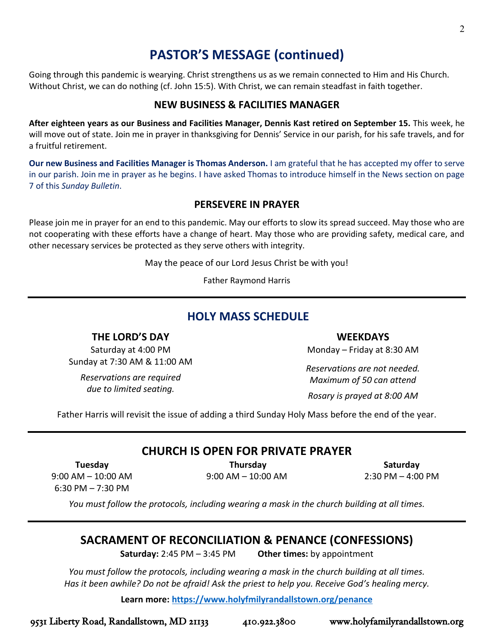2

# **PASTOR'S MESSAGE (continued)**

Going through this pandemic is wearying. Christ strengthens us as we remain connected to Him and His Church. Without Christ, we can do nothing (cf. John 15:5). With Christ, we can remain steadfast in faith together.

### **NEW BUSINESS & FACILITIES MANAGER**

**After eighteen years as our Business and Facilities Manager, Dennis Kast retired on September 15.** This week, he will move out of state. Join me in prayer in thanksgiving for Dennis' Service in our parish, for his safe travels, and for a fruitful retirement.

**Our new Business and Facilities Manager is Thomas Anderson.** I am grateful that he has accepted my offer to serve in our parish. Join me in prayer as he begins. I have asked Thomas to introduce himself in the News section on page 7 of this *Sunday Bulletin*.

### **PERSEVERE IN PRAYER**

Please join me in prayer for an end to this pandemic. May our efforts to slow its spread succeed. May those who are not cooperating with these efforts have a change of heart. May those who are providing safety, medical care, and other necessary services be protected as they serve others with integrity.

May the peace of our Lord Jesus Christ be with you!

Father Raymond Harris

# **HOLY MASS SCHEDULE**

**THE LORD'S DAY**

Saturday at 4:00 PM Sunday at 7:30 AM & 11:00 AM

*Reservations are required due to limited seating.*

**WEEKDAYS**

Monday – Friday at 8:30 AM

*Reservations are not needed. Maximum of 50 can attend*

*Rosary is prayed at 8:00 AM*

Father Harris will revisit the issue of adding a third Sunday Holy Mass before the end of the year.

## **CHURCH IS OPEN FOR PRIVATE PRAYER**

**Tuesday**

**Thursday** 9:00 AM – 10:00 AM

**Saturday** 2:30 PM – 4:00 PM

9:00 AM – 10:00 AM 6:30 PM – 7:30 PM

*You must follow the protocols, including wearing a mask in the church building at all times.*

## **SACRAMENT OF RECONCILIATION & PENANCE (CONFESSIONS)**

**Saturday:** 2:45 PM – 3:45 PM **Other times:** by appointment

*You must follow the protocols, including wearing a mask in the church building at all times. Has it been awhile? Do not be afraid! Ask the priest to help you. Receive God's healing mercy.*

**Learn more:<https://www.holyfmilyrandallstown.org/penance>**

9531 Liberty Road, Randallstown, MD 21133 410.922.3800 www.holyfamilyrandallstown.org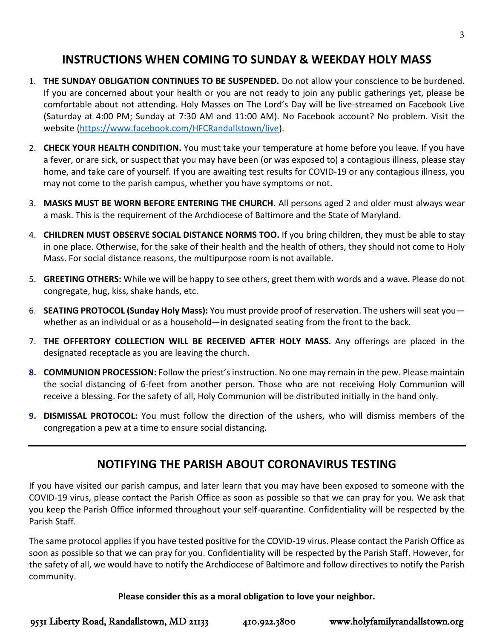# **INSTRUCTIONS WHEN COMING TO SUNDAY & WEEKDAY HOLY MASS**

- 1. **THE SUNDAY OBLIGATION CONTINUES TO BE SUSPENDED.** Do not allow your conscience to be burdened. If you are concerned about your health or you are not ready to join any public gatherings yet, please be comfortable about not attending. Holy Masses on The Lord's Day will be live-streamed on Facebook Live (Saturday at 4:00 PM; Sunday at 7:30 AM and 11:00 AM). No Facebook account? No problem. Visit the website [\(https://www.facebook.com/HFCRandallstown/live\)](https://www.facebook.com/HFCRandallstown/live).
- 2. **CHECK YOUR HEALTH CONDITION.** You must take your temperature at home before you leave. If you have a fever, or are sick, or suspect that you may have been (or was exposed to) a contagious illness, please stay home, and take care of yourself. If you are awaiting test results for COVID-19 or any contagious illness, you may not come to the parish campus, whether you have symptoms or not.
- 3. **MASKS MUST BE WORN BEFORE ENTERING THE CHURCH.** All persons aged 2 and older must always wear a mask. This is the requirement of the Archdiocese of Baltimore and the State of Maryland.
- 4. **CHILDREN MUST OBSERVE SOCIAL DISTANCE NORMS TOO.** If you bring children, they must be able to stay in one place. Otherwise, for the sake of their health and the health of others, they should not come to Holy Mass. For social distance reasons, the multipurpose room is not available.
- 5. **GREETING OTHERS:** While we will be happy to see others, greet them with words and a wave. Please do not congregate, hug, kiss, shake hands, etc.
- 6. **SEATING PROTOCOL (Sunday Holy Mass):** You must provide proof of reservation. The ushers will seat you whether as an individual or as a household—in designated seating from the front to the back.
- 7. **THE OFFERTORY COLLECTION WILL BE RECEIVED AFTER HOLY MASS.** Any offerings are placed in the designated receptacle as you are leaving the church.
- **8. COMMUNION PROCESSION:** Follow the priest'sinstruction. No one may remain in the pew. Please maintain the social distancing of 6-feet from another person. Those who are not receiving Holy Communion will receive a blessing. For the safety of all, Holy Communion will be distributed initially in the hand only.
- **9. DISMISSAL PROTOCOL:** You must follow the direction of the ushers, who will dismiss members of the congregation a pew at a time to ensure social distancing.

# **NOTIFYING THE PARISH ABOUT CORONAVIRUS TESTING**

If you have visited our parish campus, and later learn that you may have been exposed to someone with the COVID-19 virus, please contact the Parish Office as soon as possible so that we can pray for you. We ask that you keep the Parish Office informed throughout your self-quarantine. Confidentiality will be respected by the Parish Staff.

The same protocol applies if you have tested positive for the COVID-19 virus. Please contact the Parish Office as soon as possible so that we can pray for you. Confidentiality will be respected by the Parish Staff. However, for the safety of all, we would have to notify the Archdiocese of Baltimore and follow directives to notify the Parish community.

**Please consider this as a moral obligation to love your neighbor.**

9531 Liberty Road, Randallstown, MD 21133 410.922.3800 www.holyfamilyrandallstown.org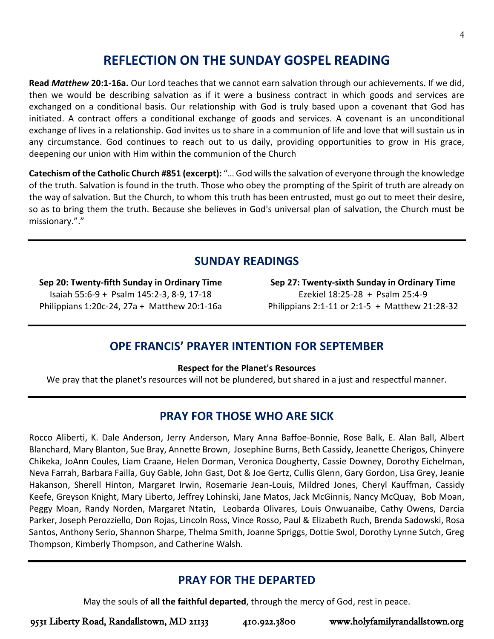# **REFLECTION ON THE SUNDAY GOSPEL READING**

**Read** *Matthew* **20:1-16a.** Our Lord teaches that we cannot earn salvation through our achievements. If we did, then we would be describing salvation as if it were a business contract in which goods and services are exchanged on a conditional basis. Our relationship with God is truly based upon a covenant that God has initiated. A contract offers a conditional exchange of goods and services. A covenant is an unconditional exchange of lives in a relationship. God invites us to share in a communion of life and love that will sustain us in any circumstance. God continues to reach out to us daily, providing opportunities to grow in His grace, deepening our union with Him within the communion of the Church

**Catechism of the Catholic Church #851 (excerpt):** "… God wills the salvation of everyone through the knowledge of the truth. Salvation is found in the truth. Those who obey the prompting of the Spirit of truth are already on the way of salvation. But the Church, to whom this truth has been entrusted, must go out to meet their desire, so as to bring them the truth. Because she believes in God's universal plan of salvation, the Church must be missionary."."

# **SUNDAY READINGS**

**Sep 20: Twenty-fifth Sunday in Ordinary Time** Isaiah 55:6-9 + Psalm 145:2-3, 8-9, 17-18 Philippians 1:20c-24, 27a + Matthew 20:1-16a

**Sep 27: Twenty-sixth Sunday in Ordinary Time** Ezekiel 18:25-28 + Psalm 25:4-9 Philippians 2:1-11 or 2:1-5 + Matthew 21:28-32

## **OPE FRANCIS' PRAYER INTENTION FOR SEPTEMBER**

#### **Respect for the Planet's Resources**

We pray that the planet's resources will not be plundered, but shared in a just and respectful manner.

# **PRAY FOR THOSE WHO ARE SICK**

Rocco Aliberti, K. Dale Anderson, Jerry Anderson, Mary Anna Baffoe-Bonnie, Rose Balk, E. Alan Ball, Albert Blanchard, Mary Blanton, Sue Bray, Annette Brown, Josephine Burns, Beth Cassidy, Jeanette Cherigos, Chinyere Chikeka, JoAnn Coules, Liam Craane, Helen Dorman, Veronica Dougherty, Cassie Downey, Dorothy Eichelman, Neva Farrah, Barbara Failla, Guy Gable, John Gast, Dot & Joe Gertz, Cullis Glenn, Gary Gordon, Lisa Grey, Jeanie Hakanson, Sherell Hinton, Margaret Irwin, Rosemarie Jean-Louis, Mildred Jones, Cheryl Kauffman, Cassidy Keefe, Greyson Knight, Mary Liberto, Jeffrey Lohinski, Jane Matos, Jack McGinnis, Nancy McQuay, Bob Moan, Peggy Moan, Randy Norden, Margaret Ntatin, Leobarda Olivares, Louis Onwuanaibe, Cathy Owens, Darcia Parker, Joseph Perozziello, Don Rojas, Lincoln Ross, Vince Rosso, Paul & Elizabeth Ruch, Brenda Sadowski, Rosa Santos, Anthony Serio, Shannon Sharpe, Thelma Smith, Joanne Spriggs, Dottie Swol, Dorothy Lynne Sutch, Greg Thompson, Kimberly Thompson, and Catherine Walsh.

# **PRAY FOR THE DEPARTED**

May the souls of **all the faithful departed**, through the mercy of God, rest in peace.

9531 Liberty Road, Randallstown, MD 21133 410.922.3800 www.holyfamilyrandallstown.org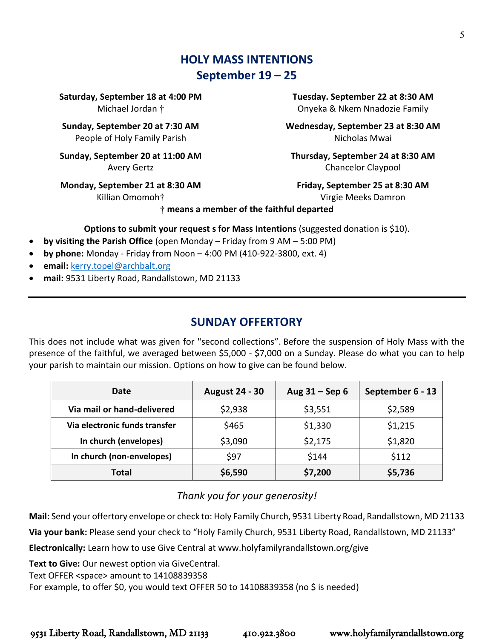# **HOLY MASS INTENTIONS September 19 – 25**

**Saturday, September 18 at 4:00 PM** Michael Jordan †

**Sunday, September 20 at 7:30 AM** People of Holy Family Parish

**Sunday, September 20 at 11:00 AM** Avery Gertz

**Monday, September 21 at 8:30 AM**

Killian Omomoh†

**Tuesday. September 22 at 8:30 AM** Onyeka & Nkem Nnadozie Family

**Wednesday, September 23 at 8:30 AM**  Nicholas Mwai

**Thursday, September 24 at 8:30 AM** Chancelor Claypool

**Friday, September 25 at 8:30 AM** Virgie Meeks Damron

**† means a member of the faithful departed**

**Options to submit your request s for Mass Intentions** (suggested donation is \$10).

- **by visiting the Parish Office** (open Monday Friday from 9 AM 5:00 PM)
- **by phone:** Monday Friday from Noon 4:00 PM (410-922-3800, ext. 4)
- **email:** [kerry.topel@archbalt.org](mailto:kerry.topel@archbalt.org)
- **mail:** 9531 Liberty Road, Randallstown, MD 21133

# **SUNDAY OFFERTORY**

This does not include what was given for "second collections". Before the suspension of Holy Mass with the presence of the faithful, we averaged between \$5,000 - \$7,000 on a Sunday. Please do what you can to help your parish to maintain our mission. Options on how to give can be found below.

| Date                          | <b>August 24 - 30</b> | Aug $31 -$ Sep 6 | September 6 - 13 |
|-------------------------------|-----------------------|------------------|------------------|
| Via mail or hand-delivered    | \$2,938               | \$3,551          | \$2,589          |
| Via electronic funds transfer | \$465                 | \$1,330          | \$1,215          |
| In church (envelopes)         | \$3,090               | \$2,175          | \$1,820          |
| In church (non-envelopes)     | \$97                  | \$144            | \$112            |
| Total                         | \$6,590               | \$7,200          | \$5,736          |

## *Thank you for your generosity!*

**Mail:** Send your offertory envelope or check to: Holy Family Church, 9531 Liberty Road, Randallstown, MD 21133

**Via your bank:** Please send your check to "Holy Family Church, 9531 Liberty Road, Randallstown, MD 21133"

**Electronically:** Learn how to use Give Central at www.holyfamilyrandallstown.org/give

**Text to Give:** Our newest option via GiveCentral.

Text OFFER <space> amount to 14108839358

For example, to offer \$0, you would text OFFER 50 to 14108839358 (no \$ is needed)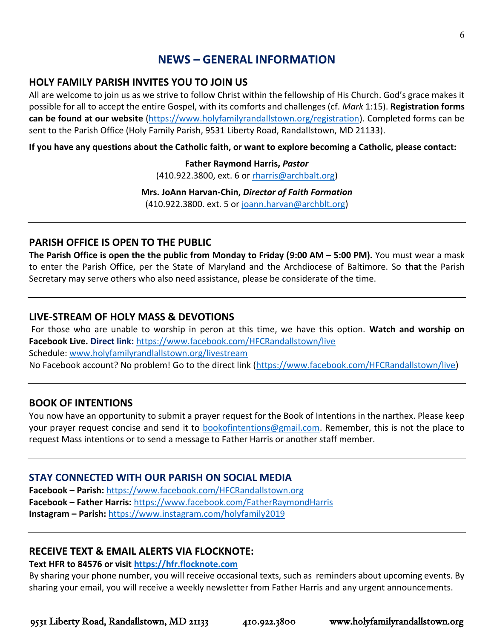# **NEWS – GENERAL INFORMATION**

### **HOLY FAMILY PARISH INVITES YOU TO JOIN US**

All are welcome to join us as we strive to follow Christ within the fellowship of His Church. God's grace makes it possible for all to accept the entire Gospel, with its comforts and challenges (cf. *Mark* 1:15). **Registration forms can be found at our website** [\(https://www.holyfamilyrandallstown.org/registration\)](https://www.holyfamilyrandallstown.org/registration). Completed forms can be sent to the Parish Office (Holy Family Parish, 9531 Liberty Road, Randallstown, MD 21133).

**If you have any questions about the Catholic faith, or want to explore becoming a Catholic, please contact:**

**Father Raymond Harris,** *Pastor* (410.922.3800, ext. 6 o[r rharris@archbalt.org\)](mailto:rharris@archbalt.org)

**Mrs. JoAnn Harvan-Chin,** *Director of Faith Formation* (410.922.3800. ext. 5 or [joann.harvan@archblt.org\)](mailto:joann.harvan@archblt.org)

### **PARISH OFFICE IS OPEN TO THE PUBLIC**

**The Parish Office is open the the public from Monday to Friday (9:00 AM – 5:00 PM).** You must wear a mask to enter the Parish Office, per the State of Maryland and the Archdiocese of Baltimore. So **that** the Parish Secretary may serve others who also need assistance, please be considerate of the time.

### **LIVE-STREAM OF HOLY MASS & DEVOTIONS**

For those who are unable to worship in peron at this time, we have this option. **Watch and worship on Facebook Live. Direct link:** <https://www.facebook.com/HFCRandallstown/live> Schedule: [www.holyfamilyrandlallstown.org/livestream](http://www.holyfamilyrandlallstown.org/livestream) No Facebook account? No problem! Go to the direct link [\(https://www.facebook.com/HFCRandallstown/live\)](https://www.facebook.com/HFCRandallstown/live)

### **BOOK OF INTENTIONS**

You now have an opportunity to submit a prayer request for the Book of Intentions in the narthex. Please keep your prayer request concise and send it to [bookofintentions@gmail.com.](mailto:bookofintentions@gmail.com) Remember, this is not the place to request Mass intentions or to send a message to Father Harris or another staff member.

### **STAY CONNECTED WITH OUR PARISH ON SOCIAL MEDIA**

**Facebook – Parish:** <https://www.facebook.com/HFCRandallstown.org> **Facebook – Father Harris:** <https://www.facebook.com/FatherRaymondHarris> **Instagram – Parish:** <https://www.instagram.com/holyfamily2019>

### **RECEIVE TEXT & EMAIL ALERTS VIA FLOCKNOTE:**

**Text HFR to 84576 or visit [https://hfr.flocknote.com](https://hfr.flocknote.com/)**

By sharing your phone number, you will receive occasional texts, such as reminders about upcoming events. By sharing your email, you will receive a weekly newsletter from Father Harris and any urgent announcements.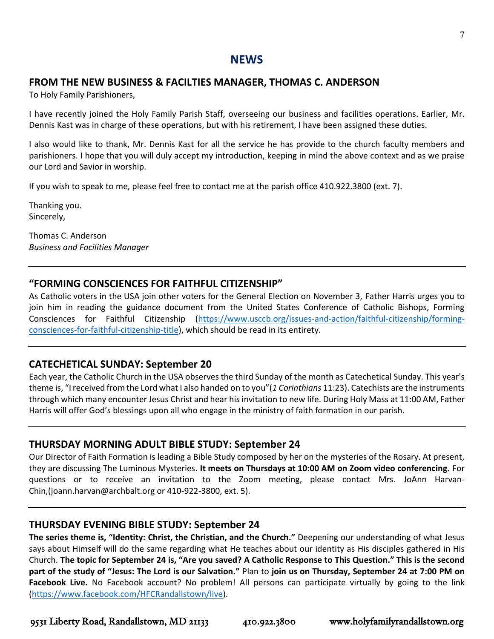### **NEWS**

#### **FROM THE NEW BUSINESS & FACILTIES MANAGER, THOMAS C. ANDERSON**

To Holy Family Parishioners,

I have recently joined the Holy Family Parish Staff, overseeing our business and facilities operations. Earlier, Mr. Dennis Kast was in charge of these operations, but with his retirement, I have been assigned these duties.

I also would like to thank, Mr. Dennis Kast for all the service he has provide to the church faculty members and parishioners. I hope that you will duly accept my introduction, keeping in mind the above context and as we praise our Lord and Savior in worship.

If you wish to speak to me, please feel free to contact me at the parish office 410.922.3800 (ext. 7).

Thanking you. Sincerely,

Thomas C. Anderson *Business and Facilities Manager*

#### **"FORMING CONSCIENCES FOR FAITHFUL CITIZENSHIP"**

As Catholic voters in the USA join other voters for the General Election on November 3, Father Harris urges you to join him in reading the guidance document from the United States Conference of Catholic Bishops, Forming Consciences for Faithful Citizenship [\(https://www.usccb.org/issues-and-action/faithful-citizenship/forming](https://www.usccb.org/issues-and-action/faithful-citizenship/forming-consciences-for-faithful-citizenship-title)[consciences-for-faithful-citizenship-title\)](https://www.usccb.org/issues-and-action/faithful-citizenship/forming-consciences-for-faithful-citizenship-title), which should be read in its entirety.

### **CATECHETICAL SUNDAY: September 20**

Each year, the Catholic Church in the USA observes the third Sunday of the month as Catechetical Sunday. This year's theme is, "I received from the Lord what I also handed on to you"(*1 Corinthians* 11:23). Catechists are the instruments through which many encounter Jesus Christ and hear his invitation to new life. During Holy Mass at 11:00 AM, Father Harris will offer God's blessings upon all who engage in the ministry of faith formation in our parish.

### **THURSDAY MORNING ADULT BIBLE STUDY: September 24**

Our Director of Faith Formation is leading a Bible Study composed by her on the mysteries of the Rosary. At present, they are discussing The Luminous Mysteries. **It meets on Thursdays at 10:00 AM on Zoom video conferencing.** For questions or to receive an invitation to the Zoom meeting, please contact Mrs. JoAnn Harvan-Chin,(joann.harvan@archbalt.org or 410-922-3800, ext. 5).

### **THURSDAY EVENING BIBLE STUDY: September 24**

**The series theme is, "Identity: Christ, the Christian, and the Church."** Deepening our understanding of what Jesus says about Himself will do the same regarding what He teaches about our identity as His disciples gathered in His Church. **The topic for September 24 is, "Are you saved? A Catholic Response to This Question." This is the second part of the study of "Jesus: The Lord is our Salvation."** Plan to **join us on Thursday, September 24 at 7:00 PM on**  Facebook Live. No Facebook account? No problem! All persons can participate virtually by going to the link [\(https://www.facebook.com/HFCRandallstown/live\)](https://www.facebook.com/HFCRandallstown/live).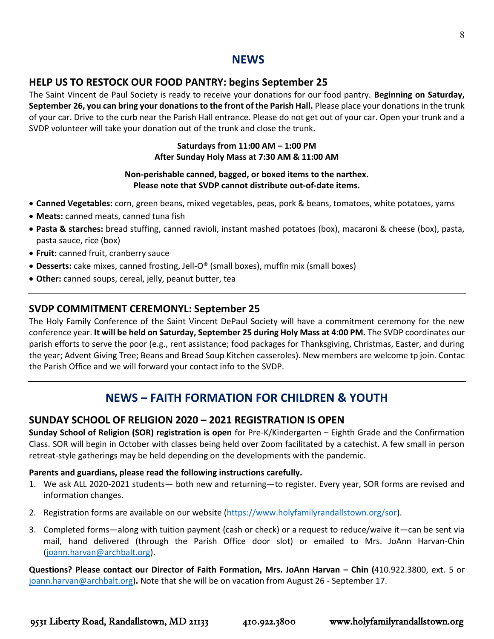### **NEWS**

#### **HELP US TO RESTOCK OUR FOOD PANTRY: begins September 25**

The Saint Vincent de Paul Society is ready to receive your donations for our food pantry. **Beginning on Saturday, September 26, you can bring your donations to the front of the Parish Hall.** Please place your donations in the trunk of your car. Drive to the curb near the Parish Hall entrance. Please do not get out of your car. Open your trunk and a SVDP volunteer will take your donation out of the trunk and close the trunk.

#### **Saturdays from 11:00 AM – 1:00 PM After Sunday Holy Mass at 7:30 AM & 11:00 AM**

#### **Non-perishable canned, bagged, or boxed items to the narthex. Please note that SVDP cannot distribute out-of-date items.**

- **Canned Vegetables:** corn, green beans, mixed vegetables, peas, pork & beans, tomatoes, white potatoes, yams
- **Meats:** canned meats, canned tuna fish
- **Pasta & starches:** bread stuffing, canned ravioli, instant mashed potatoes (box), macaroni & cheese (box), pasta, pasta sauce, rice (box)
- **Fruit:** canned fruit, cranberry sauce
- **Desserts:** cake mixes, canned frosting, Jell-O® (small boxes), muffin mix (small boxes)
- **Other:** canned soups, cereal, jelly, peanut butter, tea

#### **SVDP COMMITMENT CEREMONYL: September 25**

The Holy Family Conference of the Saint Vincent DePaul Society will have a commitment ceremony for the new conference year. **It will be held on Saturday, September 25 during Holy Mass at 4:00 PM.** The SVDP coordinates our parish efforts to serve the poor (e.g., rent assistance; food packages for Thanksgiving, Christmas, Easter, and during the year; Advent Giving Tree; Beans and Bread Soup Kitchen casseroles). New members are welcome tp join. Contac the Parish Office and we will forward your contact info to the SVDP.

## **NEWS – FAITH FORMATION FOR CHILDREN & YOUTH**

#### **SUNDAY SCHOOL OF RELIGION 2020 – 2021 REGISTRATION IS OPEN**

**Sunday School of Religion (SOR) registration is open** for Pre-K/Kindergarten – Eighth Grade and the Confirmation Class. SOR will begin in October with classes being held over Zoom facilitated by a catechist. A few small in person retreat-style gatherings may be held depending on the developments with the pandemic.

#### **Parents and guardians, please read the following instructions carefully.**

- 1. We ask ALL 2020-2021 students— both new and returning—to register. Every year, SOR forms are revised and information changes.
- 2. Registration forms are available on our website [\(https://www.holyfamilyrandallstown.org/sor\)](https://www.holyfamilyrandallstown.org/sor).
- 3. Completed forms—along with tuition payment (cash or check) or a request to reduce/waive it—can be sent via mail, hand delivered (through the Parish Office door slot) or emailed to Mrs. JoAnn Harvan-Chin [\(joann.harvan@archbalt.org\)](mailto:joann.harvan@archbalt.org).

**Questions? Please contact our Director of Faith Formation, Mrs. JoAnn Harvan – Chin (**410.922.3800, ext. 5 or [joann.harvan@archbalt.org\)](mailto:joann.harvan@archbalt.org)**.** Note that she will be on vacation from August 26 - September 17.